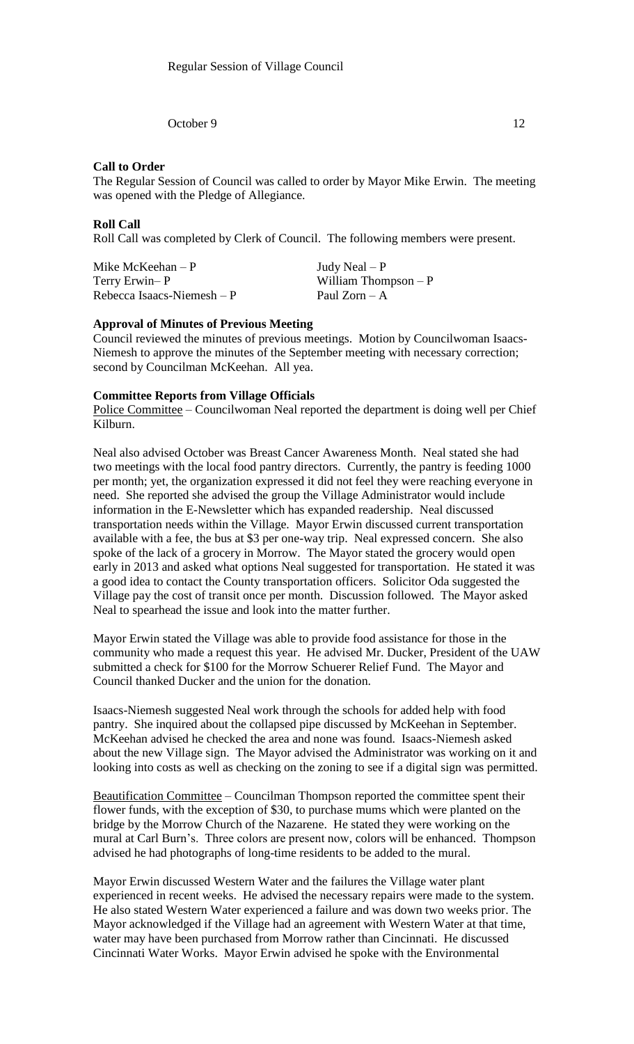October 9 12

### **Call to Order**

The Regular Session of Council was called to order by Mayor Mike Erwin. The meeting was opened with the Pledge of Allegiance.

### **Roll Call**

Roll Call was completed by Clerk of Council. The following members were present.

Mike McKeehan – P  $Judy$  Neal – P Terry Erwin– P William Thompson – P  $Rebecca Isaacs-Niemesh - P$  Paul Zorn – A

#### **Approval of Minutes of Previous Meeting**

Council reviewed the minutes of previous meetings. Motion by Councilwoman Isaacs-Niemesh to approve the minutes of the September meeting with necessary correction; second by Councilman McKeehan. All yea.

#### **Committee Reports from Village Officials**

Police Committee – Councilwoman Neal reported the department is doing well per Chief Kilburn.

Neal also advised October was Breast Cancer Awareness Month. Neal stated she had two meetings with the local food pantry directors. Currently, the pantry is feeding 1000 per month; yet, the organization expressed it did not feel they were reaching everyone in need. She reported she advised the group the Village Administrator would include information in the E-Newsletter which has expanded readership. Neal discussed transportation needs within the Village. Mayor Erwin discussed current transportation available with a fee, the bus at \$3 per one-way trip. Neal expressed concern. She also spoke of the lack of a grocery in Morrow. The Mayor stated the grocery would open early in 2013 and asked what options Neal suggested for transportation. He stated it was a good idea to contact the County transportation officers. Solicitor Oda suggested the Village pay the cost of transit once per month. Discussion followed. The Mayor asked Neal to spearhead the issue and look into the matter further.

Mayor Erwin stated the Village was able to provide food assistance for those in the community who made a request this year. He advised Mr. Ducker, President of the UAW submitted a check for \$100 for the Morrow Schuerer Relief Fund. The Mayor and Council thanked Ducker and the union for the donation.

Isaacs-Niemesh suggested Neal work through the schools for added help with food pantry. She inquired about the collapsed pipe discussed by McKeehan in September. McKeehan advised he checked the area and none was found. Isaacs-Niemesh asked about the new Village sign. The Mayor advised the Administrator was working on it and looking into costs as well as checking on the zoning to see if a digital sign was permitted.

Beautification Committee – Councilman Thompson reported the committee spent their flower funds, with the exception of \$30, to purchase mums which were planted on the bridge by the Morrow Church of the Nazarene. He stated they were working on the mural at Carl Burn's. Three colors are present now, colors will be enhanced. Thompson advised he had photographs of long-time residents to be added to the mural.

Mayor Erwin discussed Western Water and the failures the Village water plant experienced in recent weeks. He advised the necessary repairs were made to the system. He also stated Western Water experienced a failure and was down two weeks prior. The Mayor acknowledged if the Village had an agreement with Western Water at that time, water may have been purchased from Morrow rather than Cincinnati. He discussed Cincinnati Water Works. Mayor Erwin advised he spoke with the Environmental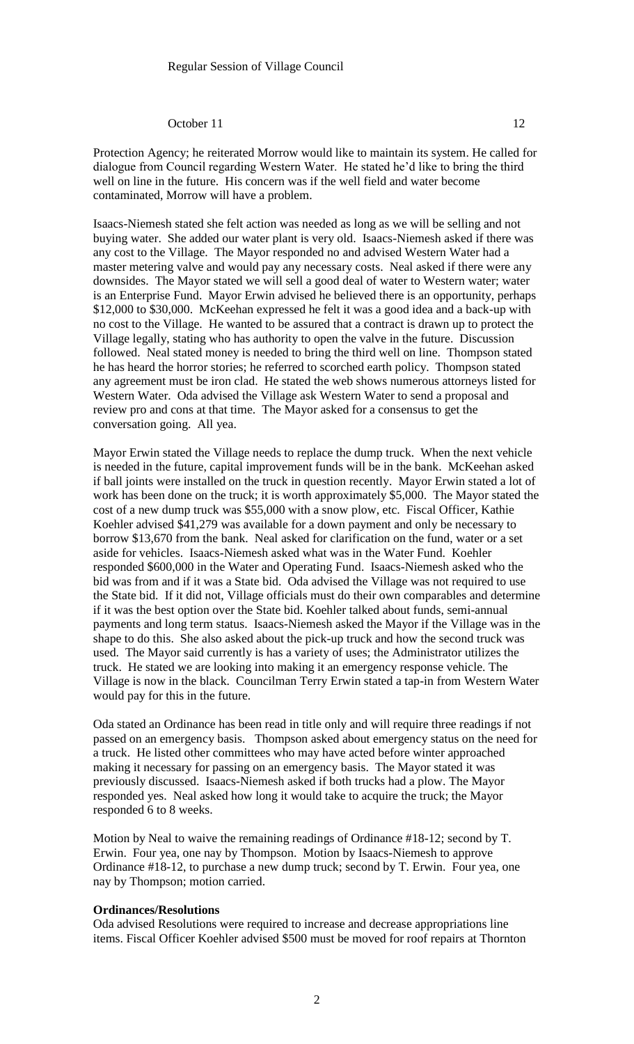### October 11 12

Protection Agency; he reiterated Morrow would like to maintain its system. He called for dialogue from Council regarding Western Water. He stated he'd like to bring the third well on line in the future. His concern was if the well field and water become contaminated, Morrow will have a problem.

Isaacs-Niemesh stated she felt action was needed as long as we will be selling and not buying water. She added our water plant is very old. Isaacs-Niemesh asked if there was any cost to the Village. The Mayor responded no and advised Western Water had a master metering valve and would pay any necessary costs. Neal asked if there were any downsides. The Mayor stated we will sell a good deal of water to Western water; water is an Enterprise Fund. Mayor Erwin advised he believed there is an opportunity, perhaps \$12,000 to \$30,000. McKeehan expressed he felt it was a good idea and a back-up with no cost to the Village. He wanted to be assured that a contract is drawn up to protect the Village legally, stating who has authority to open the valve in the future. Discussion followed. Neal stated money is needed to bring the third well on line. Thompson stated he has heard the horror stories; he referred to scorched earth policy. Thompson stated any agreement must be iron clad. He stated the web shows numerous attorneys listed for Western Water. Oda advised the Village ask Western Water to send a proposal and review pro and cons at that time. The Mayor asked for a consensus to get the conversation going. All yea.

Mayor Erwin stated the Village needs to replace the dump truck. When the next vehicle is needed in the future, capital improvement funds will be in the bank. McKeehan asked if ball joints were installed on the truck in question recently. Mayor Erwin stated a lot of work has been done on the truck; it is worth approximately \$5,000. The Mayor stated the cost of a new dump truck was \$55,000 with a snow plow, etc. Fiscal Officer, Kathie Koehler advised \$41,279 was available for a down payment and only be necessary to borrow \$13,670 from the bank. Neal asked for clarification on the fund, water or a set aside for vehicles. Isaacs-Niemesh asked what was in the Water Fund. Koehler responded \$600,000 in the Water and Operating Fund. Isaacs-Niemesh asked who the bid was from and if it was a State bid. Oda advised the Village was not required to use the State bid. If it did not, Village officials must do their own comparables and determine if it was the best option over the State bid. Koehler talked about funds, semi-annual payments and long term status. Isaacs-Niemesh asked the Mayor if the Village was in the shape to do this. She also asked about the pick-up truck and how the second truck was used. The Mayor said currently is has a variety of uses; the Administrator utilizes the truck. He stated we are looking into making it an emergency response vehicle. The Village is now in the black. Councilman Terry Erwin stated a tap-in from Western Water would pay for this in the future.

Oda stated an Ordinance has been read in title only and will require three readings if not passed on an emergency basis. Thompson asked about emergency status on the need for a truck. He listed other committees who may have acted before winter approached making it necessary for passing on an emergency basis. The Mayor stated it was previously discussed. Isaacs-Niemesh asked if both trucks had a plow. The Mayor responded yes. Neal asked how long it would take to acquire the truck; the Mayor responded 6 to 8 weeks.

Motion by Neal to waive the remaining readings of Ordinance #18-12; second by T. Erwin. Four yea, one nay by Thompson. Motion by Isaacs-Niemesh to approve Ordinance #18-12, to purchase a new dump truck; second by T. Erwin. Four yea, one nay by Thompson; motion carried.

#### **Ordinances/Resolutions**

Oda advised Resolutions were required to increase and decrease appropriations line items. Fiscal Officer Koehler advised \$500 must be moved for roof repairs at Thornton